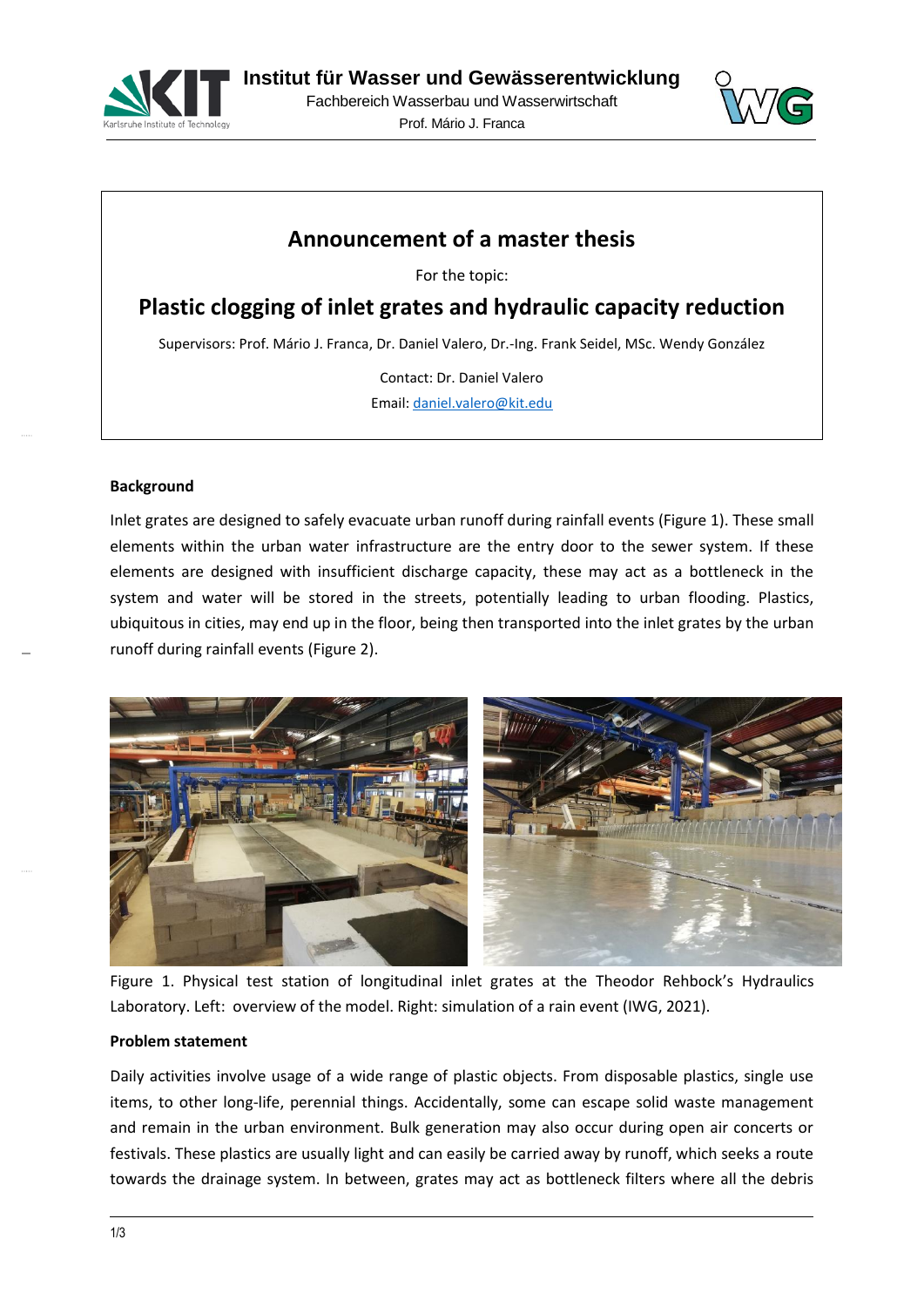



# **Announcement of a master thesis**

For the topic:

**Plastic clogging of inlet grates and hydraulic capacity reduction**

Supervisors: Prof. Mário J. Franca, Dr. Daniel Valero, Dr.-Ing. Frank Seidel, MSc. Wendy González

Contact: Dr. Daniel Valero

Email[: daniel.valero@kit.edu](mailto:daniel.valero@kit.edu)

#### **Background**

Inlet grates are designed to safely evacuate urban runoff during rainfall events [\(Figure 1\)](#page-0-0). These small elements within the urban water infrastructure are the entry door to the sewer system. If these elements are designed with insufficient discharge capacity, these may act as a bottleneck in the system and water will be stored in the streets, potentially leading to urban flooding. Plastics, ubiquitous in cities, may end up in the floor, being then transported into the inlet grates by the urban runoff during rainfall events [\(Figure 2\)](#page-1-0).



<span id="page-0-0"></span>Figure 1. Physical test station of longitudinal inlet grates at the Theodor Rehbock's Hydraulics Laboratory. Left: overview of the model. Right: simulation of a rain event (IWG, 2021).

#### **Problem statement**

Daily activities involve usage of a wide range of plastic objects. From disposable plastics, single use items, to other long-life, perennial things. Accidentally, some can escape solid waste management and remain in the urban environment. Bulk generation may also occur during open air concerts or festivals. These plastics are usually light and can easily be carried away by runoff, which seeks a route towards the drainage system. In between, grates may act as bottleneck filters where all the debris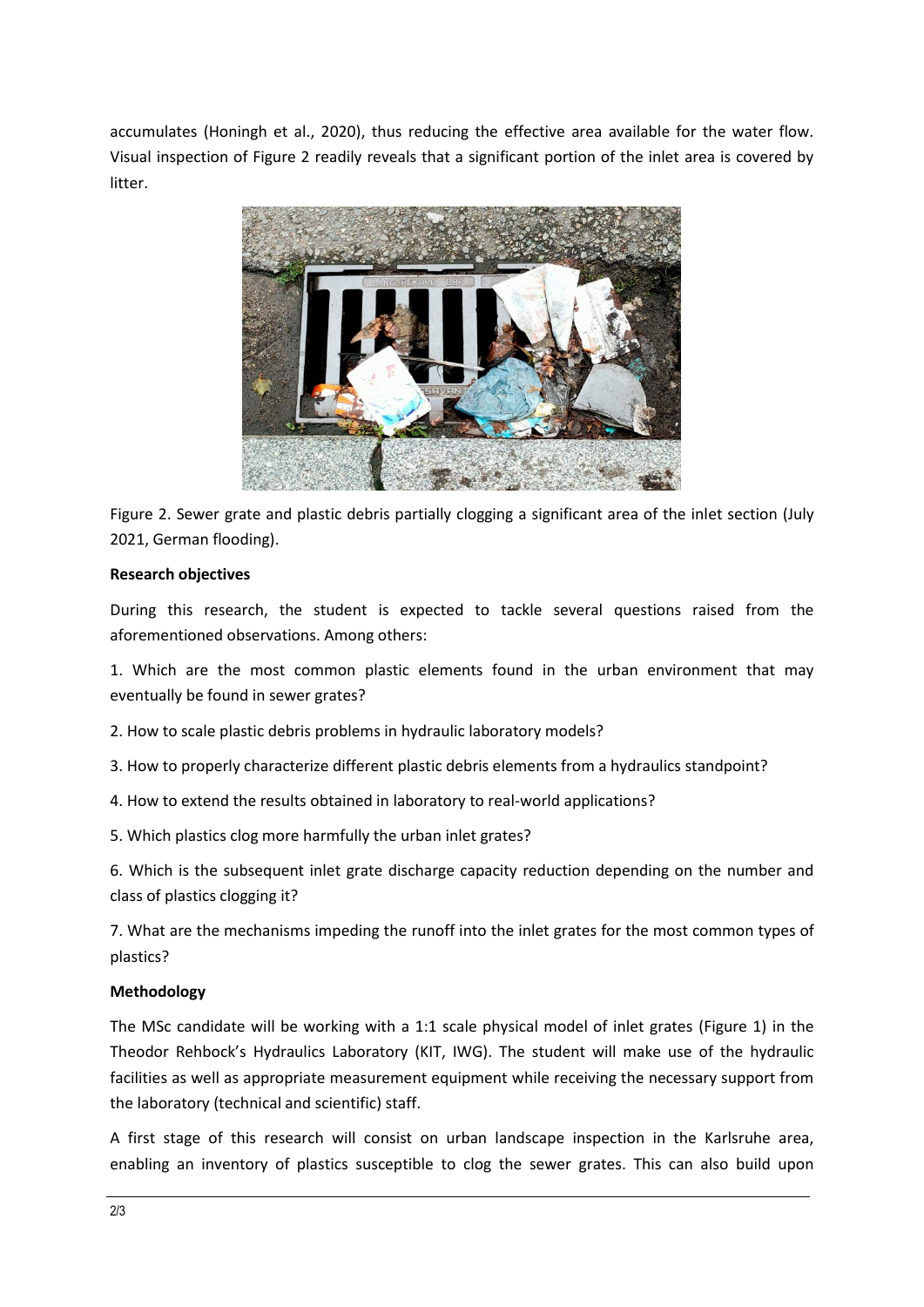accumulates (Honingh et al., 2020), thus reducing the effective area available for the water flow. Visual inspection of [Figure 2](#page-1-0) readily reveals that a significant portion of the inlet area is covered by litter.



<span id="page-1-0"></span>Figure 2. Sewer grate and plastic debris partially clogging a significant area of the inlet section (July 2021, German flooding).

## **Research objectives**

During this research, the student is expected to tackle several questions raised from the aforementioned observations. Among others:

1. Which are the most common plastic elements found in the urban environment that may eventually be found in sewer grates?

2. How to scale plastic debris problems in hydraulic laboratory models?

3. How to properly characterize different plastic debris elements from a hydraulics standpoint?

4. How to extend the results obtained in laboratory to real-world applications?

5. Which plastics clog more harmfully the urban inlet grates?

6. Which is the subsequent inlet grate discharge capacity reduction depending on the number and class of plastics clogging it?

7. What are the mechanisms impeding the runoff into the inlet grates for the most common types of plastics?

## **Methodology**

The MSc candidate will be working with a 1:1 scale physical model of inlet grates [\(Figure 1\)](#page-0-0) in the Theodor Rehbock's Hydraulics Laboratory (KIT, IWG). The student will make use of the hydraulic facilities as well as appropriate measurement equipment while receiving the necessary support from the laboratory (technical and scientific) staff.

A first stage of this research will consist on urban landscape inspection in the Karlsruhe area, enabling an inventory of plastics susceptible to clog the sewer grates. This can also build upon